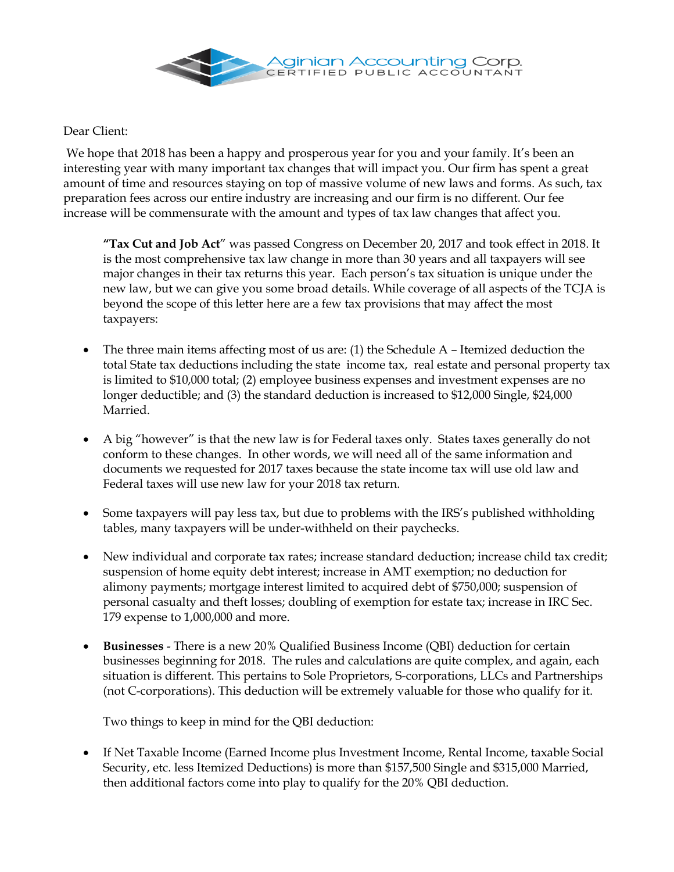

Dear Client:

We hope that 2018 has been a happy and prosperous year for you and your family. It's been an interesting year with many important tax changes that will impact you. Our firm has spent a great amount of time and resources staying on top of massive volume of new laws and forms. As such, tax preparation fees across our entire industry are increasing and our firm is no different. Our fee increase will be commensurate with the amount and types of tax law changes that affect you.

**"Tax Cut and Job Act**" was passed Congress on December 20, 2017 and took effect in 2018. It is the most comprehensive tax law change in more than 30 years and all taxpayers will see major changes in their tax returns this year. Each person's tax situation is unique under the new law, but we can give you some broad details. While coverage of all aspects of the TCJA is beyond the scope of this letter here are a few tax provisions that may affect the most taxpayers:

- The three main items affecting most of us are: (1) the Schedule A Itemized deduction the total State tax deductions including the state income tax, real estate and personal property tax is limited to \$10,000 total; (2) employee business expenses and investment expenses are no longer deductible; and (3) the standard deduction is increased to \$12,000 Single, \$24,000 Married.
- A big "however" is that the new law is for Federal taxes only. States taxes generally do not conform to these changes. In other words, we will need all of the same information and documents we requested for 2017 taxes because the state income tax will use old law and Federal taxes will use new law for your 2018 tax return.
- Some taxpayers will pay less tax, but due to problems with the IRS's published withholding tables, many taxpayers will be under-withheld on their paychecks.
- New individual and corporate tax rates; increase standard deduction; increase child tax credit; suspension of home equity debt interest; increase in AMT exemption; no deduction for alimony payments; mortgage interest limited to acquired debt of \$750,000; suspension of personal casualty and theft losses; doubling of exemption for estate tax; increase in IRC Sec. 179 expense to 1,000,000 and more.
- **Businesses** There is a new 20% Qualified Business Income (QBI) deduction for certain businesses beginning for 2018. The rules and calculations are quite complex, and again, each situation is different. This pertains to Sole Proprietors, S-corporations, LLCs and Partnerships (not C-corporations). This deduction will be extremely valuable for those who qualify for it.

Two things to keep in mind for the QBI deduction:

 If Net Taxable Income (Earned Income plus Investment Income, Rental Income, taxable Social Security, etc. less Itemized Deductions) is more than \$157,500 Single and \$315,000 Married, then additional factors come into play to qualify for the 20% QBI deduction.